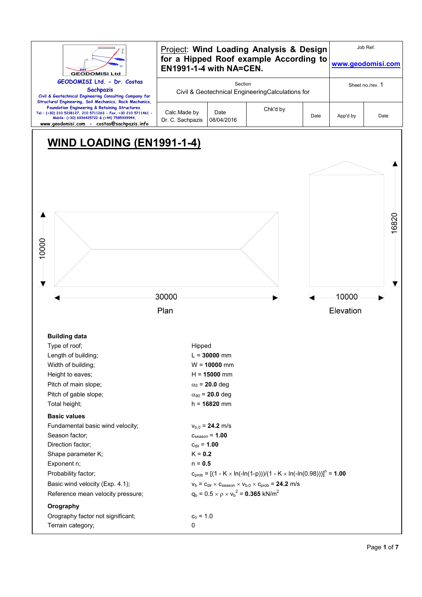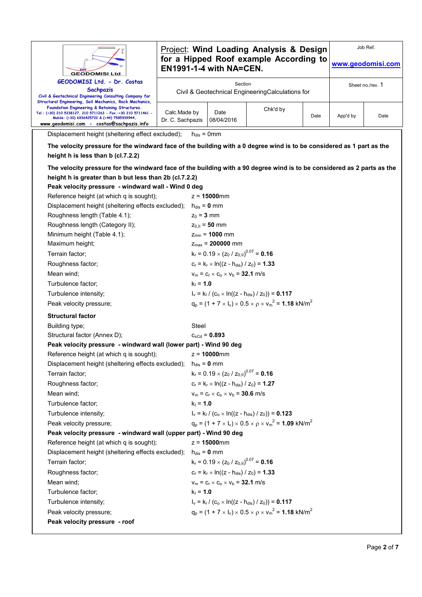| <b>GEODOMISI Ltd</b>                                                                                                                                                                                                                                                    |                                  | <b>Project: Wind Loading Analysis &amp; Design</b><br>for a Hipped Roof example According to<br>EN1991-1-4 with NA=CEN. |                                                    |                                                                                                        |      |          | Job Ref.<br>www.geodomisi.com |
|-------------------------------------------------------------------------------------------------------------------------------------------------------------------------------------------------------------------------------------------------------------------------|----------------------------------|-------------------------------------------------------------------------------------------------------------------------|----------------------------------------------------|--------------------------------------------------------------------------------------------------------|------|----------|-------------------------------|
| GEODOMISI Ltd. - Dr. Costas<br>Sachpazis<br>Civil & Geotechnical Engineering Consulting Company for                                                                                                                                                                     |                                  |                                                                                                                         | Section                                            | Civil & Geotechnical EngineeringCalculations for                                                       |      |          | Sheet no./rev. 1              |
| Structural Engineering, Soil Mechanics, Rock Mechanics,<br>Foundation Engineering & Retaining Structures.<br>Tel.: (+30) 210 5238127, 210 5711263 - Fax.:+30 210 5711461 -<br>Mobile: (+30) 6936425722 & (+44) 7585939944,<br>www.geodomisi.com - costas@sachpazis.info | Calc.Made by<br>Dr. C. Sachpazis |                                                                                                                         | Date<br>08/04/2016                                 | Chk'd by                                                                                               | Date | App'd by | Date                          |
| Displacement height (sheltering effect excluded);                                                                                                                                                                                                                       |                                  | $h_{dis} = 0$ mm                                                                                                        |                                                    |                                                                                                        |      |          |                               |
| The velocity pressure for the windward face of the building with a 0 degree wind is to be considered as 1 part as the                                                                                                                                                   |                                  |                                                                                                                         |                                                    |                                                                                                        |      |          |                               |
| height h is less than b (cl.7.2.2)                                                                                                                                                                                                                                      |                                  |                                                                                                                         |                                                    |                                                                                                        |      |          |                               |
| The velocity pressure for the windward face of the building with a 90 degree wind is to be considered as 2 parts as the                                                                                                                                                 |                                  |                                                                                                                         |                                                    |                                                                                                        |      |          |                               |
| height h is greater than b but less than 2b (cl.7.2.2)                                                                                                                                                                                                                  |                                  |                                                                                                                         |                                                    |                                                                                                        |      |          |                               |
| Peak velocity pressure - windward wall - Wind 0 deg                                                                                                                                                                                                                     |                                  |                                                                                                                         |                                                    |                                                                                                        |      |          |                               |
| Reference height (at which q is sought);                                                                                                                                                                                                                                |                                  |                                                                                                                         | $z = 15000$ mm                                     |                                                                                                        |      |          |                               |
| Displacement height (sheltering effects excluded);                                                                                                                                                                                                                      |                                  | $h_{dis} = 0$ mm                                                                                                        |                                                    |                                                                                                        |      |          |                               |
| Roughness length (Table 4.1);                                                                                                                                                                                                                                           |                                  | $z_0 = 3$ mm                                                                                                            |                                                    |                                                                                                        |      |          |                               |
| Roughness length (Category II);                                                                                                                                                                                                                                         |                                  |                                                                                                                         | $z_{0,II} = 50$ mm                                 |                                                                                                        |      |          |                               |
| Minimum height (Table 4.1);                                                                                                                                                                                                                                             |                                  |                                                                                                                         | $z_{min} = 1000$ mm                                |                                                                                                        |      |          |                               |
| Maximum height;                                                                                                                                                                                                                                                         |                                  |                                                                                                                         | $z_{\text{max}} = 200000$ mm                       |                                                                                                        |      |          |                               |
| Terrain factor;                                                                                                                                                                                                                                                         |                                  |                                                                                                                         | $k_r = 0.19 \times (z_0 / z_{0.11})^{0.07} = 0.16$ |                                                                                                        |      |          |                               |
| Roughness factor;                                                                                                                                                                                                                                                       |                                  |                                                                                                                         | $c_r = k_r \times ln((z - h_{dis}) / z_0) = 1.33$  |                                                                                                        |      |          |                               |
| Mean wind;                                                                                                                                                                                                                                                              |                                  |                                                                                                                         | $v_m = c_r \times c_o \times v_b = 32.1$ m/s       |                                                                                                        |      |          |                               |
| Turbulence factor;                                                                                                                                                                                                                                                      |                                  | $k_1 = 1.0$                                                                                                             |                                                    |                                                                                                        |      |          |                               |
| Turbulence intensity;                                                                                                                                                                                                                                                   |                                  |                                                                                                                         |                                                    | $I_v = k_1 / (c_o \times ln((z - h_{dis}) / z_0)) = 0.117$                                             |      |          |                               |
| Peak velocity pressure;                                                                                                                                                                                                                                                 |                                  |                                                                                                                         |                                                    | $q_p = (1 + 7 \times I_v) \times 0.5 \times p \times v_m^2 = 1.18$ kN/m <sup>2</sup>                   |      |          |                               |
| <b>Structural factor</b>                                                                                                                                                                                                                                                |                                  |                                                                                                                         |                                                    |                                                                                                        |      |          |                               |
| Building type;                                                                                                                                                                                                                                                          |                                  | Steel                                                                                                                   |                                                    |                                                                                                        |      |          |                               |
| Structural factor (Annex D);                                                                                                                                                                                                                                            |                                  |                                                                                                                         | $c_{\rm sCd} = 0.893$                              |                                                                                                        |      |          |                               |
| Peak velocity pressure - windward wall (lower part) - Wind 90 deg                                                                                                                                                                                                       |                                  |                                                                                                                         |                                                    |                                                                                                        |      |          |                               |
| Reference height (at which q is sought);                                                                                                                                                                                                                                |                                  |                                                                                                                         | $z = 10000$ mm                                     |                                                                                                        |      |          |                               |
| Displacement height (sheltering effects excluded);                                                                                                                                                                                                                      |                                  | $h_{dis} = 0$ mm                                                                                                        |                                                    |                                                                                                        |      |          |                               |
| Terrain factor;                                                                                                                                                                                                                                                         |                                  |                                                                                                                         | $k_r = 0.19 \times (z_0 / z_{0,II})^{0.07} = 0.16$ |                                                                                                        |      |          |                               |
| Roughness factor;                                                                                                                                                                                                                                                       |                                  |                                                                                                                         | $c_r = k_r \times ln((z - h_{dis}) / z_0) = 1.27$  |                                                                                                        |      |          |                               |
| Mean wind;                                                                                                                                                                                                                                                              |                                  |                                                                                                                         | $v_m = c_r \times c_o \times v_b = 30.6$ m/s       |                                                                                                        |      |          |                               |
| Turbulence factor;                                                                                                                                                                                                                                                      |                                  | $k_1 = 1.0$                                                                                                             |                                                    |                                                                                                        |      |          |                               |
| Turbulence intensity;                                                                                                                                                                                                                                                   |                                  |                                                                                                                         |                                                    | $I_v = k_1 / (c_0 \times ln((z - h_{dis}) / z_0)) = 0.123$                                             |      |          |                               |
| Peak velocity pressure;                                                                                                                                                                                                                                                 |                                  |                                                                                                                         |                                                    | $q_{\rm o} = (1 + 7 \times I_{\rm v}) \times 0.5 \times \rho \times v_{\rm m}^2 = 1.09 \text{ kN/m}^2$ |      |          |                               |
| Peak velocity pressure - windward wall (upper part) - Wind 90 deg                                                                                                                                                                                                       |                                  |                                                                                                                         |                                                    |                                                                                                        |      |          |                               |
| Reference height (at which q is sought);                                                                                                                                                                                                                                |                                  |                                                                                                                         | $z = 15000$ mm                                     |                                                                                                        |      |          |                               |
| Displacement height (sheltering effects excluded);                                                                                                                                                                                                                      |                                  | $h_{dis} = 0$ mm                                                                                                        |                                                    |                                                                                                        |      |          |                               |
| Terrain factor;                                                                                                                                                                                                                                                         |                                  |                                                                                                                         | $k_r = 0.19 \times (z_0 / z_{0,II})^{0.07} = 0.16$ |                                                                                                        |      |          |                               |
| Roughness factor;                                                                                                                                                                                                                                                       |                                  |                                                                                                                         | $c_r = k_r \times ln((z - h_{dis}) / z_0) = 1.33$  |                                                                                                        |      |          |                               |
| Mean wind;                                                                                                                                                                                                                                                              |                                  |                                                                                                                         | $v_m = c_r \times c_o \times v_b = 32.1$ m/s       |                                                                                                        |      |          |                               |
| Turbulence factor;                                                                                                                                                                                                                                                      |                                  | $k_1 = 1.0$                                                                                                             |                                                    |                                                                                                        |      |          |                               |
| Turbulence intensity;                                                                                                                                                                                                                                                   |                                  |                                                                                                                         |                                                    | $I_v = k_1 / (c_0 \times ln((z - h_{dis}) / z_0)) = 0.117$                                             |      |          |                               |
| Peak velocity pressure;                                                                                                                                                                                                                                                 |                                  |                                                                                                                         |                                                    | $q_p = (1 + 7 \times I_v) \times 0.5 \times p \times v_m^2 = 1.18$ kN/m <sup>2</sup>                   |      |          |                               |
| Peak velocity pressure - roof                                                                                                                                                                                                                                           |                                  |                                                                                                                         |                                                    |                                                                                                        |      |          |                               |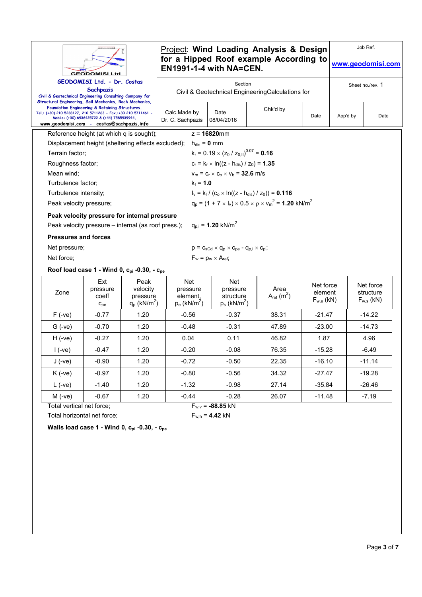|                                                                                                                                                                       | <br><b>GEODOMISI Ltd</b>                                                                       |                                                            | EN1991-1-4 with NA=CEN.                                   |                                                                                        | <b>Project: Wind Loading Analysis &amp; Design</b><br>for a Hipped Roof example According to |                                        |                  | Job Ref.<br>www.geodomisi.com            |
|-----------------------------------------------------------------------------------------------------------------------------------------------------------------------|------------------------------------------------------------------------------------------------|------------------------------------------------------------|-----------------------------------------------------------|----------------------------------------------------------------------------------------|----------------------------------------------------------------------------------------------|----------------------------------------|------------------|------------------------------------------|
| Civil & Geotechnical Engineering Consulting Company for                                                                                                               | GEODOMISI Ltd. - Dr. Costas<br>Sachpazis                                                       |                                                            |                                                           | Section                                                                                | Civil & Geotechnical EngineeringCalculations for                                             |                                        |                  | Sheet no./rev. 1                         |
| Structural Engineering, Soil Mechanics, Rock Mechanics,<br>Tel.: (+30) 210 5238127, 210 5711263 - Fax.:+30 210 5711461 -<br>www.geodomisi.com - costas@sachpazis.info | Foundation Engineering & Retaining Structures.<br>Mobile: (+30) 6936425722 & (+44) 7585939944. |                                                            | Calc.Made by<br>Dr. C. Sachpazis                          | Date<br>08/04/2016                                                                     | Chk'd by                                                                                     | Date                                   | App'd by<br>Date |                                          |
|                                                                                                                                                                       | Reference height (at which q is sought);                                                       |                                                            |                                                           | $z = 16820$ mm                                                                         |                                                                                              |                                        |                  |                                          |
|                                                                                                                                                                       |                                                                                                | Displacement height (sheltering effects excluded);         | $h_{dis} = 0$ mm                                          |                                                                                        |                                                                                              |                                        |                  |                                          |
| Terrain factor:                                                                                                                                                       |                                                                                                |                                                            |                                                           | $k_r = 0.19 \times (z_0 / z_{0.11})^{0.07} = 0.16$                                     |                                                                                              |                                        |                  |                                          |
| Roughness factor;                                                                                                                                                     |                                                                                                |                                                            |                                                           | $c_r = k_r \times ln((z - h_{dis}) / z_0) = 1.35$                                      |                                                                                              |                                        |                  |                                          |
| Mean wind;                                                                                                                                                            |                                                                                                |                                                            |                                                           | $v_m = c_r \times c_o \times v_b = 32.6$ m/s                                           |                                                                                              |                                        |                  |                                          |
| Turbulence factor:                                                                                                                                                    |                                                                                                |                                                            | $k_1 = 1.0$                                               |                                                                                        |                                                                                              |                                        |                  |                                          |
| Turbulence intensity;                                                                                                                                                 |                                                                                                |                                                            |                                                           |                                                                                        | $I_v = k_l / (c_o \times ln((z - h_{dis}) / z_0)) = 0.116$                                   |                                        |                  |                                          |
| Peak velocity pressure;                                                                                                                                               |                                                                                                |                                                            |                                                           |                                                                                        | $q_p = (1 + 7 \times I_v) \times 0.5 \times p \times v_m^2 = 1.20$ kN/m <sup>2</sup>         |                                        |                  |                                          |
|                                                                                                                                                                       |                                                                                                | Peak velocity pressure for internal pressure               |                                                           |                                                                                        |                                                                                              |                                        |                  |                                          |
|                                                                                                                                                                       |                                                                                                | Peak velocity pressure – internal (as roof press.);        |                                                           | $q_{p,i} = 1.20$ kN/m <sup>2</sup>                                                     |                                                                                              |                                        |                  |                                          |
| <b>Pressures and forces</b>                                                                                                                                           |                                                                                                |                                                            |                                                           |                                                                                        |                                                                                              |                                        |                  |                                          |
| Net pressure;                                                                                                                                                         |                                                                                                |                                                            |                                                           | $p = C_{\rm sCd} \times q_{\rm p} \times C_{\rm pe} - q_{\rm p,i} \times C_{\rm pi}$ ; |                                                                                              |                                        |                  |                                          |
| Net force:                                                                                                                                                            |                                                                                                |                                                            |                                                           | $F_w = p_w \times A_{ref}$                                                             |                                                                                              |                                        |                  |                                          |
|                                                                                                                                                                       |                                                                                                | Roof load case 1 - Wind 0, $c_{pi}$ -0.30, - $c_{pe}$      |                                                           |                                                                                        |                                                                                              |                                        |                  |                                          |
| Zone                                                                                                                                                                  | Ext<br>pressure<br>coeff<br>$C_{\rm{pe}}$                                                      | Peak<br>velocity<br>pressure<br>$q_p$ (kN/m <sup>2</sup> ) | Net<br>pressure<br>element,<br>$p_e$ (kN/m <sup>2</sup> ) | Net<br>pressure<br>structure<br>$p_s$ (kN/m <sup>2</sup> )                             | Area<br>$A_{ref}(m^2)$                                                                       | Net force<br>element<br>$F_{w,e}$ (kN) |                  | Net force<br>structure<br>$F_{w,s}$ (kN) |
| $F(-ve)$                                                                                                                                                              | $-0.77$                                                                                        | 1.20                                                       | $-0.56$                                                   | $-0.37$                                                                                | 38.31                                                                                        | $-21.47$                               |                  | $-14.22$                                 |
| $G$ (-ve)                                                                                                                                                             | $-0.70$                                                                                        | 1.20                                                       | $-0.48$                                                   | $-0.31$                                                                                | 47.89                                                                                        | $-23.00$                               |                  | $-14.73$                                 |
| $H(-ve)$                                                                                                                                                              | $-0.27$                                                                                        | 1.20                                                       | 0.04                                                      | 0.11                                                                                   | 46.82                                                                                        | 1.87                                   |                  | 4.96                                     |
| $1(-ve)$                                                                                                                                                              | $-0.47$                                                                                        | 1.20                                                       | $-0.20$                                                   | $-0.08$                                                                                | 76.35                                                                                        | $-15.28$                               |                  | $-6.49$                                  |
| $J(-ve)$                                                                                                                                                              | $-0.90$                                                                                        | 1.20                                                       | $-0.72$                                                   | $-0.50$                                                                                | 22.35                                                                                        | $-16.10$                               |                  | $-11.14$                                 |
| $K(-ve)$                                                                                                                                                              | $-0.97$                                                                                        | 1.20                                                       | $-0.80$                                                   | $-0.56$                                                                                | 34.32                                                                                        | $-27.47$                               |                  | $-19.28$                                 |
| $L$ (-ve)                                                                                                                                                             | $-1.40$                                                                                        | 1.20                                                       | $-1.32$                                                   | $-0.98$                                                                                | 27.14                                                                                        | $-35.84$                               |                  | $-26.46$                                 |
| $M(-ve)$                                                                                                                                                              | $-0.67$                                                                                        | 1.20                                                       | $-0.44$                                                   | $-0.28$                                                                                | 26.07                                                                                        | $-11.48$                               |                  | $-7.19$                                  |
| Total vertical net force;                                                                                                                                             | Total horizontal net force;                                                                    |                                                            |                                                           | $F_{w,v}$ = -88.85 kN                                                                  |                                                                                              |                                        |                  |                                          |

**Walls load case 1 - Wind 0, cpi -0.30, - cpe**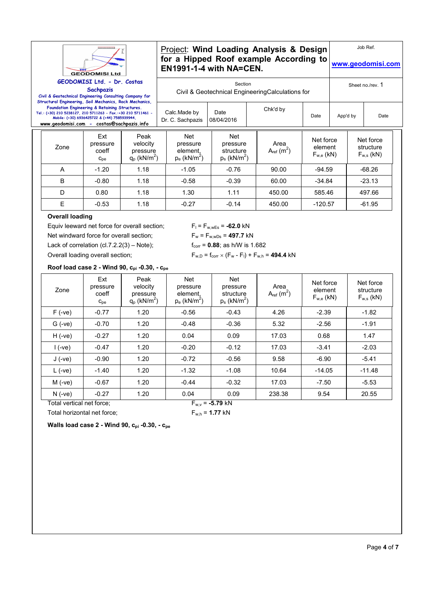

## Project: **Wind Loading Analysis & Design for a Hipped Roof example According to EN1991-1-4 with NA=CEN.**

**www.geodomisi.com**

Job Ref.

Section Civil & Geotechnical EngineeringCalculations for

Chk'd by

Sheet no./rev. 1

**Sachpazis Civil & Geotechnical Engineering Consulting Company for Structural Engineering, Soil Mechanics, Rock Mechanics, Foundation Engineering & Retaining Structures. Tel.: (+30) 210 5238127, 210 5711263 - Fax.:+30 210 5711461 - Mobile: (+30) 6936425722 & (+44) 7585939944,** 

| el.: (+30) 210 5238127, 210 5711263 - Fax.:+30 210 5711461 -<br>www.geodomisi.com - costas@sachpazis.info | Mobile: (+30) 6936425722 & (+44) 7585939944. |                                                            | Calc. Made by<br>Dr. C. Sachpazis                                | Date<br>08/04/2016                                         |                        | Date                                   | App'd by |                                          | Date |
|-----------------------------------------------------------------------------------------------------------|----------------------------------------------|------------------------------------------------------------|------------------------------------------------------------------|------------------------------------------------------------|------------------------|----------------------------------------|----------|------------------------------------------|------|
| Zone                                                                                                      | Ext<br>pressure<br>coeff<br>$C_{\text{pe}}$  | Peak<br>velocity<br>pressure<br>$q_p$ (kN/m <sup>2</sup> ) | <b>Net</b><br>pressure<br>element,<br>$p_e$ (kN/m <sup>2</sup> ) | Net<br>pressure<br>structure<br>$p_s$ (kN/m <sup>2</sup> ) | Area<br>$A_{ref}(m^2)$ | Net force<br>element<br>$F_{w,e}$ (kN) |          | Net force<br>structure<br>$F_{w,s}$ (kN) |      |
| A                                                                                                         | $-1.20$                                      | 1.18                                                       | $-1.05$                                                          | $-0.76$                                                    | 90.00                  | $-94.59$                               |          | $-68.26$                                 |      |
| B                                                                                                         | $-0.80$                                      | 1.18                                                       | $-0.58$                                                          | $-0.39$                                                    | 60.00                  | $-34.84$                               |          | $-23.13$                                 |      |
| D                                                                                                         | 0.80                                         | 1.18                                                       | 1.30                                                             | 1.11                                                       | 450.00                 | 585.46                                 |          | 497.66                                   |      |
| E                                                                                                         | $-0.53$                                      | 1.18                                                       | $-0.27$                                                          | $-0.14$                                                    | 450.00                 | $-120.57$                              |          | $-61.95$                                 |      |

Date

Calc.Made by

## **Overall loading**

Equiv leeward net force for overall section;  $F_1 = F_{w,wEs} = -62.0 \text{ kN}$ Net windward force for overall section;  $F_w = F_{w, wDs} = 497.7$  kN Lack of correlation  $(cl.7.2.2(3) – Note);$   $f_{corr} = 0.88;$  as h/W is 1.682 Overall loading overall section;  $F_{w,D} = f_{\text{corr}} \times (F_w - F_l) + F_{w,h} = 494.4 \text{ kN}$ 

|                           |                                             | Roof load case 2 - Wind 90, Cpi -0.30, - Cpe               |                                                           |                                                            |                        |                                        |                                          |
|---------------------------|---------------------------------------------|------------------------------------------------------------|-----------------------------------------------------------|------------------------------------------------------------|------------------------|----------------------------------------|------------------------------------------|
| Zone                      | Ext<br>pressure<br>coeff<br>$C_{\text{pe}}$ | Peak<br>velocity<br>pressure<br>$q_p$ (kN/m <sup>2</sup> ) | Net<br>pressure<br>element.<br>$p_e$ (kN/m <sup>2</sup> ) | Net<br>pressure<br>structure<br>$p_s$ (kN/m <sup>2</sup> ) | Area<br>$A_{ref}(m^2)$ | Net force<br>element<br>$F_{w,e}$ (kN) | Net force<br>structure<br>$F_{w,s}$ (kN) |
| $F(-ve)$                  | $-0.77$                                     | 1.20                                                       | $-0.56$                                                   | $-0.43$                                                    | 4.26                   | $-2.39$                                | $-1.82$                                  |
| $G$ (-ve)                 | $-0.70$                                     | 1.20                                                       | $-0.48$                                                   | $-0.36$                                                    | 5.32                   | $-2.56$                                | $-1.91$                                  |
| $H(-ve)$                  | $-0.27$                                     | 1.20                                                       | 0.04                                                      | 0.09                                                       | 17.03                  | 0.68                                   | 1.47                                     |
| $1(-ve)$                  | $-0.47$                                     | 1.20                                                       | $-0.20$                                                   | $-0.12$                                                    | 17.03                  | $-3.41$                                | $-2.03$                                  |
| $J(-ve)$                  | $-0.90$                                     | 1.20                                                       | $-0.72$                                                   | $-0.56$                                                    | 9.58                   | $-6.90$                                | $-5.41$                                  |
| $L$ (-ve)                 | $-1.40$                                     | 1.20                                                       | $-1.32$                                                   | $-1.08$                                                    | 10.64                  | $-14.05$                               | $-11.48$                                 |
| $M$ (-ve)                 | $-0.67$                                     | 1.20                                                       | $-0.44$                                                   | $-0.32$                                                    | 17.03                  | $-7.50$                                | $-5.53$                                  |
| $N(-ve)$                  | $-0.27$                                     | 1.20                                                       | 0.04                                                      | 0.09                                                       | 238.38                 | 9.54                                   | 20.55                                    |
| Total vertical net force: |                                             |                                                            |                                                           | $F_{w.v}$ = -5.79 kN                                       |                        |                                        |                                          |

Total horizontal net force;  $F_{w,h} = 1.77$  kN



**Walls load case 2 - Wind 90, cpi -0.30, - cpe**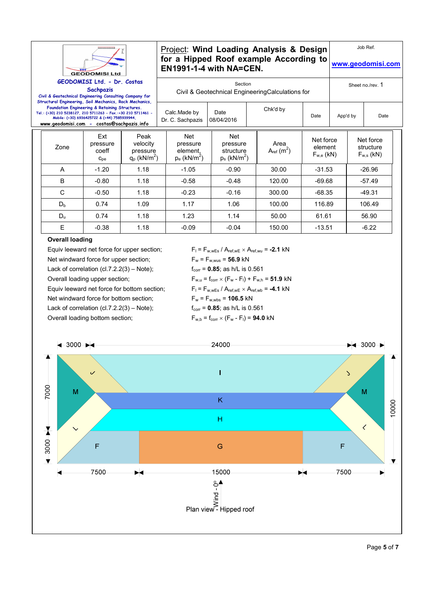

## Project: **Wind Loading Analysis & Design for a Hipped Roof example According to EN1991-1-4 with NA=CEN.**

**www.geodomisi.com**

Job Ref.

|  |  | Section |   |  |
|--|--|---------|---|--|
|  |  |         | . |  |

**Sachpazis Civil & Geotechnical Engineering Consulting Company for Structural Engineering, Soil Mechanics, Rock Mechanics, Foundation Engineering & Retaining Structures. Tel.: (+30) 210 5238127, 210 5711263 - Fax.:+30 210 5711461 - Mobile: (+30) 6936425722 & (+44) 7585939944, www.geodomisi.com - costas@sachpazis.info**

Civil & Geotechnical EngineeringCalculations for

| Calc Made by<br>Dr. C. Sachpazis   08/04/2016 | Date | Chk'd by | Date | App'd by | Date |
|-----------------------------------------------|------|----------|------|----------|------|

| Zone         | Ext<br>pressure<br>coeff<br>$C_{pe}$ | Peak<br>velocity<br>pressure<br>$q_p$ (kN/m <sup>2</sup> ) | Net<br>pressure<br>element,<br>$p_e$ (kN/m <sup>2</sup> ) | <b>Net</b><br>pressure<br>structure<br>$p_s$ (kN/m <sup>2</sup> ) | Area<br>$A_{ref}(m^2)$ | Net force<br>element<br>$F_{w,e}$ (kN) | Net force<br>structure<br>$F_{w,s}$ (kN) |
|--------------|--------------------------------------|------------------------------------------------------------|-----------------------------------------------------------|-------------------------------------------------------------------|------------------------|----------------------------------------|------------------------------------------|
| A            | $-1.20$                              | 1.18                                                       | $-1.05$                                                   | $-0.90$                                                           | 30.00                  | $-31.53$                               | $-26.96$                                 |
| B            | $-0.80$                              | 1.18                                                       | $-0.58$                                                   | $-0.48$                                                           | 120.00                 | $-69.68$                               | $-57.49$                                 |
| $\mathsf{C}$ | $-0.50$                              | 1.18                                                       | $-0.23$                                                   | $-0.16$                                                           | 300.00                 | $-68.35$                               | $-49.31$                                 |
| $D_{b}$      | 0.74                                 | 1.09                                                       | 1.17                                                      | 1.06                                                              | 100.00                 | 116.89                                 | 106.49                                   |
| $D_u$        | 0.74                                 | 1.18                                                       | 1.23                                                      | 1.14                                                              | 50.00                  | 61.61                                  | 56.90                                    |
| E            | $-0.38$                              | 1.18                                                       | $-0.09$                                                   | $-0.04$                                                           | 150.00                 | $-13.51$                               | $-6.22$                                  |

## **Overall loading**

Equiv leeward net force for upper section;  $F_1 = F_{w,wEs} / A_{ref,wE} \times A_{ref,wu} = -2.1 kN$ Net windward force for upper section;  $F_w = F_{w, wus} = 56.9$  kN Lack of correlation  $(cl.7.2.2(3) – Note);$   $f_{corr} = 0.85;$  as  $h/L$  is 0.561 Overall loading upper section;  $F_{w,u} = f_{corr} \times (F_w - F_l) + F_{w,h} = 51.9 \text{ kN}$ Equiv leeward net force for bottom section;  $F_1 = F_{w,wEs} / A_{ref,wE} \times A_{ref,wb} = -4.1 kN$ Net windward force for bottom section;  $F_w = F_{w, wbs} = 106.5 kN$ Lack of correlation  $(cl.7.2.2(3) - Note);$   $f_{corr} = 0.85;$  as  $h/L$  is 0.561 Overall loading bottom section;  $F_{w,b} = f_{corr} \times (F_w - F_l) = 94.0 \text{ kN}$ 

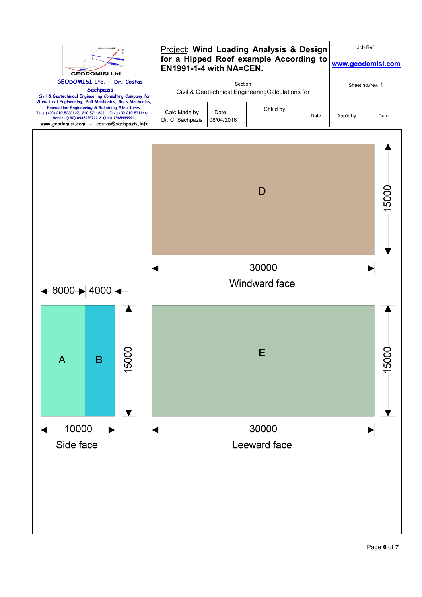